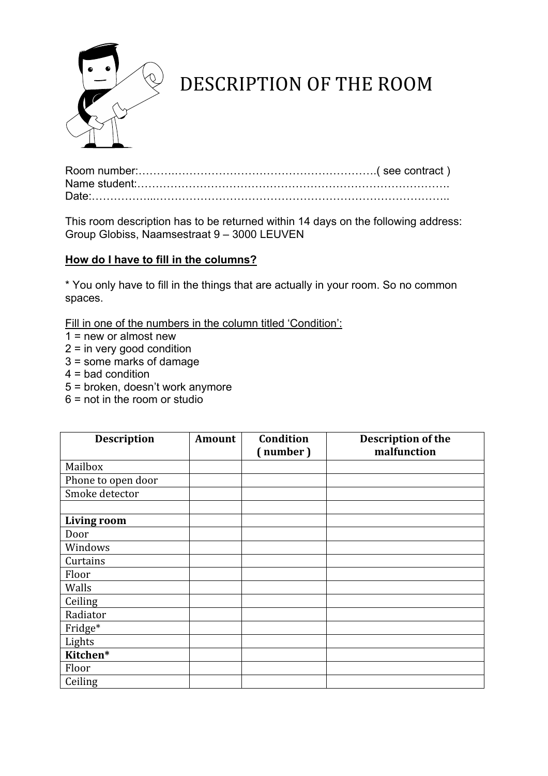

## DESCRIPTION
OF
THE
ROOM

This room description has to be returned within 14 days on the following address: Group Globiss, Naamsestraat 9 – 3000 LEUVEN

## **How do I have to fill in the columns?**

\* You only have to fill in the things that are actually in your room. So no common spaces.

Fill in one of the numbers in the column titled 'Condition':

- $1 = new or almost new$
- $2 =$  in very good condition
- 3 = some marks of damage
- $4 =$  bad condition
- 5 = broken, doesn't work anymore
- $6$  = not in the room or studio

| <b>Description</b> | <b>Amount</b> | Condition | Description of the |
|--------------------|---------------|-----------|--------------------|
|                    |               | (number)  | malfunction        |
| Mailbox            |               |           |                    |
| Phone to open door |               |           |                    |
| Smoke detector     |               |           |                    |
|                    |               |           |                    |
| <b>Living room</b> |               |           |                    |
| Door               |               |           |                    |
| Windows            |               |           |                    |
| Curtains           |               |           |                    |
| Floor              |               |           |                    |
| Walls              |               |           |                    |
| Ceiling            |               |           |                    |
| Radiator           |               |           |                    |
| Fridge*            |               |           |                    |
| Lights             |               |           |                    |
| Kitchen*           |               |           |                    |
| Floor              |               |           |                    |
| Ceiling            |               |           |                    |